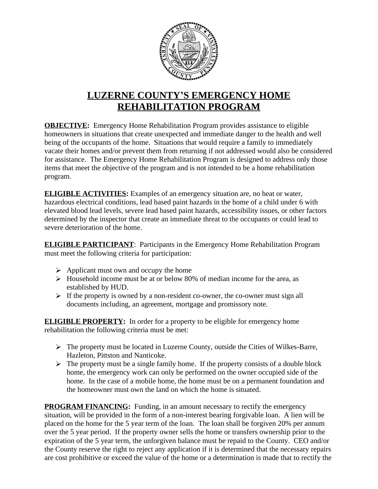

## **LUZERNE COUNTY'S EMERGENCY HOME REHABILITATION PROGRAM**

**OBJECTIVE:** Emergency Home Rehabilitation Program provides assistance to eligible homeowners in situations that create unexpected and immediate danger to the health and well being of the occupants of the home. Situations that would require a family to immediately vacate their homes and/or prevent them from returning if not addressed would also be considered for assistance. The Emergency Home Rehabilitation Program is designed to address only those items that meet the objective of the program and is not intended to be a home rehabilitation program.

**ELIGIBLE ACTIVITIES:** Examples of an emergency situation are, no heat or water, hazardous electrical conditions, lead based paint hazards in the home of a child under 6 with elevated blood lead levels, severe lead based paint hazards, accessibility issues, or other factors determined by the inspector that create an immediate threat to the occupants or could lead to severe deterioration of the home.

**ELIGIBLE PARTICIPANT**: Participants in the Emergency Home Rehabilitation Program must meet the following criteria for participation:

- $\triangleright$  Applicant must own and occupy the home
- $\triangleright$  Household income must be at or below 80% of median income for the area, as established by HUD.
- $\triangleright$  If the property is owned by a non-resident co-owner, the co-owner must sign all documents including, an agreement, mortgage and promissory note.

**ELIGIBLE PROPERTY:** In order for a property to be eligible for emergency home rehabilitation the following criteria must be met:

- $\triangleright$  The property must be located in Luzerne County, outside the Cities of Wilkes-Barre, Hazleton, Pittston and Nanticoke.
- $\triangleright$  The property must be a single family home. If the property consists of a double block home, the emergency work can only be performed on the owner occupied side of the home. In the case of a mobile home, the home must be on a permanent foundation and the homeowner must own the land on which the home is situated.

**PROGRAM FINANCING:** Funding, in an amount necessary to rectify the emergency situation, will be provided in the form of a non-interest bearing forgivable loan. A lien will be placed on the home for the 5 year term of the loan. The loan shall be forgiven 20% per annum over the 5 year period. If the property owner sells the home or transfers ownership prior to the expiration of the 5 year term, the unforgiven balance must be repaid to the County. CEO and/or the County reserve the right to reject any application if it is determined that the necessary repairs are cost prohibitive or exceed the value of the home or a determination is made that to rectify the